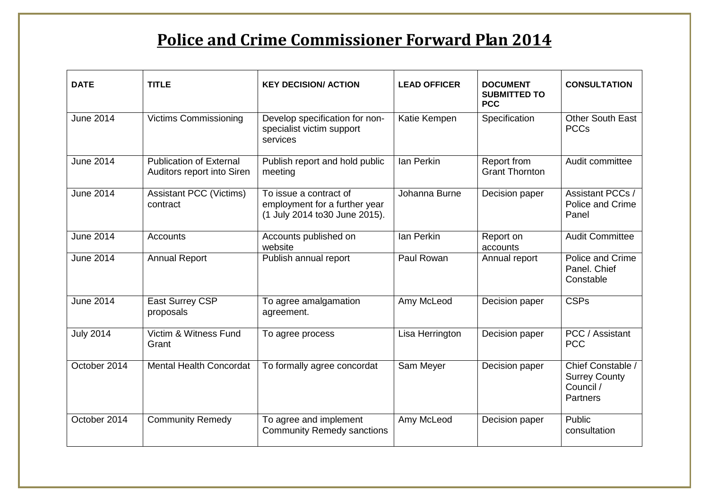## **Police and Crime Commissioner Forward Plan 2014**

| <b>DATE</b>      | <b>TITLE</b>                                                 | <b>KEY DECISION/ ACTION</b>                                                               | <b>LEAD OFFICER</b> | <b>DOCUMENT</b><br><b>SUBMITTED TO</b><br><b>PCC</b> | <b>CONSULTATION</b>                                                       |
|------------------|--------------------------------------------------------------|-------------------------------------------------------------------------------------------|---------------------|------------------------------------------------------|---------------------------------------------------------------------------|
| <b>June 2014</b> | <b>Victims Commissioning</b>                                 | Develop specification for non-<br>specialist victim support<br>services                   | Katie Kempen        | Specification                                        | <b>Other South East</b><br><b>PCCs</b>                                    |
| <b>June 2014</b> | <b>Publication of External</b><br>Auditors report into Siren | Publish report and hold public<br>meeting                                                 | Ian Perkin          | Report from<br><b>Grant Thornton</b>                 | Audit committee                                                           |
| <b>June 2014</b> | <b>Assistant PCC (Victims)</b><br>contract                   | To issue a contract of<br>employment for a further year<br>(1 July 2014 to 30 June 2015). | Johanna Burne       | Decision paper                                       | <b>Assistant PCCs /</b><br>Police and Crime<br>Panel                      |
| <b>June 2014</b> | <b>Accounts</b>                                              | Accounts published on<br>website                                                          | Ian Perkin          | Report on<br>accounts                                | <b>Audit Committee</b>                                                    |
| <b>June 2014</b> | <b>Annual Report</b>                                         | Publish annual report                                                                     | Paul Rowan          | Annual report                                        | Police and Crime<br>Panel. Chief<br>Constable                             |
| <b>June 2014</b> | <b>East Surrey CSP</b><br>proposals                          | To agree amalgamation<br>agreement.                                                       | Amy McLeod          | Decision paper                                       | <b>CSPs</b>                                                               |
| <b>July 2014</b> | Victim & Witness Fund<br>Grant                               | To agree process                                                                          | Lisa Herrington     | Decision paper                                       | PCC / Assistant<br><b>PCC</b>                                             |
| October 2014     | <b>Mental Health Concordat</b>                               | To formally agree concordat                                                               | Sam Meyer           | Decision paper                                       | Chief Constable /<br><b>Surrey County</b><br>Council /<br><b>Partners</b> |
| October 2014     | <b>Community Remedy</b>                                      | To agree and implement<br><b>Community Remedy sanctions</b>                               | Amy McLeod          | Decision paper                                       | Public<br>consultation                                                    |